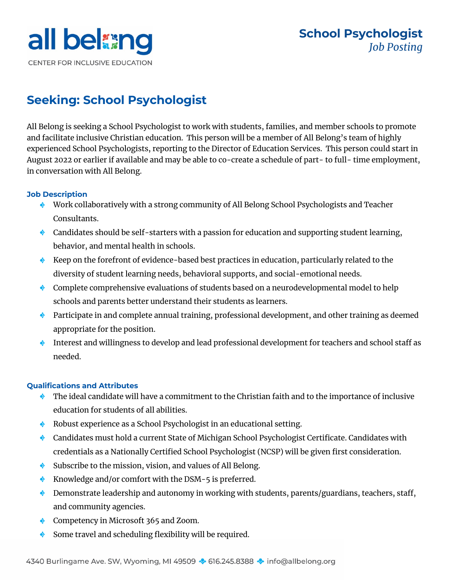

# **Seeking: School Psychologist**

All Belong is seeking a School Psychologist to work with students, families, and member schools to promote and facilitate inclusive Christian education. This person will be a member of All Belong's team of highly experienced School Psychologists, reporting to the Director of Education Services. This person could start in August 2022 or earlier if available and may be able to co-create a schedule of part- to full- time employment, in conversation with All Belong.

## **Job Description**

- ◆ Work collaboratively with a strong community of All Belong School Psychologists and Teacher Consultants.
- Candidates should be self-starters with a passion for education and supporting student learning, behavior, and mental health in schools.
- Keep on the forefront of evidence-based best practices in education, particularly related to the diversity of student learning needs, behavioral supports, and social-emotional needs.
- **Complete comprehensive evaluations of students based on a neurodevelopmental model to help** schools and parents better understand their students as learners.
- Participate in and complete annual training, professional development, and other training as deemed appropriate for the position.
- Interest and willingness to develop and lead professional development for teachers and school staff as needed.

# **Qualifications and Attributes**

- The ideal candidate will have a commitment to the Christian faith and to the importance of inclusive education for students of all abilities.
- Robust experience as a School Psychologist in an educational setting.
- ◆ Candidates must hold a current State of Michigan School Psychologist Certificate. Candidates with credentials as a Nationally Certified School Psychologist (NCSP) will be given first consideration.
- Subscribe to the mission, vision, and values of All Belong.
- ◆ Knowledge and/or comfort with the DSM-5 is preferred.
- $\lozenge$  Demonstrate leadership and autonomy in working with students, parents/guardians, teachers, staff, and community agencies.
- ◆ Competency in Microsoft 365 and Zoom.
- Some travel and scheduling flexibility will be required.